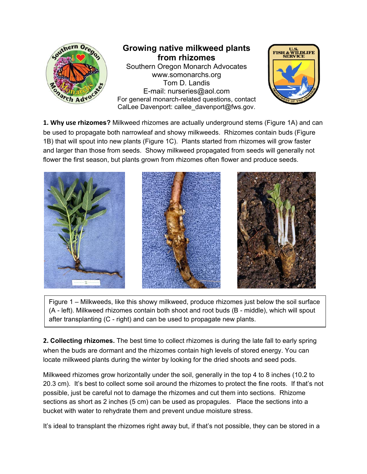

**1. Why use rhizomes?** Milkweed rhizomes are actually underground stems (Figure 1A) and can be used to propagate both narrowleaf and showy milkweeds. Rhizomes contain buds (Figure 1B) that will spout into new plants (Figure 1C). Plants started from rhizomes will grow faster and larger than those from seeds. Showy milkweed propagated from seeds will generally not flower the first season, but plants grown from rhizomes often flower and produce seeds.



Figure 1 – Milkweeds, like this showy milkweed, produce rhizomes just below the soil surface (A - left). Milkweed rhizomes contain both shoot and root buds (B - middle), which will spout after transplanting (C - right) and can be used to propagate new plants.

**2. Collecting rhizomes.** The best time to collect rhizomes is during the late fall to early spring when the buds are dormant and the rhizomes contain high levels of stored energy. You can locate milkweed plants during the winter by looking for the dried shoots and seed pods.

Milkweed rhizomes grow horizontally under the soil, generally in the top 4 to 8 inches (10.2 to 20.3 cm). It's best to collect some soil around the rhizomes to protect the fine roots. If that's not possible, just be careful not to damage the rhizomes and cut them into sections. Rhizome sections as short as 2 inches (5 cm) can be used as propagules. Place the sections into a bucket with water to rehydrate them and prevent undue moisture stress.

It's ideal to transplant the rhizomes right away but, if that's not possible, they can be stored in a